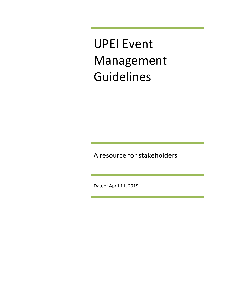UPEI Event Management Guidelines

A resource for stakeholders

Dated: April 11, 2019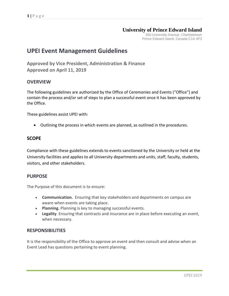# **University of Prince Edward Island**

550 University Avenue, Charlottetown Prince Edward Island, Canada C1A 4P3

# **UPEI Event Management Guidelines**

**Approved by Vice President, Administration & Finance Approved on April 11, 2019**

# **OVERVIEW**

The following guidelines are authorized by the Office of Ceremonies and Events ("Office") and contain the process and/or set of steps to plan a successful event once it has been approved by the Office.

These guidelines assist UPEI with:

Outlining the process in which events are planned, as outlined in the procedures.

# **SCOPE**

Compliance with these guidelines extends to events sanctioned by the University or held at the University facilities and applies to all University departments and units, staff, faculty, students, visitors, and other stakeholders.

# **PURPOSE**

The Purpose of this document is to ensure:

- **Communication.** Ensuring that key stakeholders and departments on campus are aware when events are taking place.
- **Planning.** Planning is key to managing successful events.
- **Legality**. Ensuring that contracts and insurance are in place before executing an event, when necessary.

# **RESPONSIBILITIES**

It is the responsibility of the Office to approve an event and then consult and advise when an Event Lead has questions pertaining to event planning.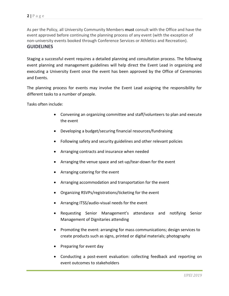As per the Policy, all University Community Members **must** consult with the Office and have the event approved before continuing the planning process of any event (with the exception of non-university events booked through Conference Services or Athletics and Recreation).

# **GUIDELINES**

Staging a successful event requires a detailed planning and consultation process. The following event planning and management guidelines will help direct the Event Lead in organizing and executing a University Event once the event has been approved by the Office of Ceremonies and Events.

The planning process for events may involve the Event Lead assigning the responsibility for different tasks to a number of people.

Tasks often include:

- Convening an organizing committee and staff/volunteers to plan and execute the event
- Developing a budget/securing financial resources/fundraising
- Following safety and security guidelines and other relevant policies
- Arranging contracts and insurance when needed
- Arranging the venue space and set-up/tear-down for the event
- Arranging catering for the event
- Arranging accommodation and transportation for the event
- Organizing RSVPs/registrations/ticketing for the event
- Arranging ITSS/audio-visual needs for the event
- Requesting Senior Management's attendance and notifying Senior Management of Dignitaries attending
- Promoting the event: arranging for mass communications; design services to create products such as signs, printed or digital materials; photography
- Preparing for event day
- Conducting a post-event evaluation: collecting feedback and reporting on event outcomes to stakeholders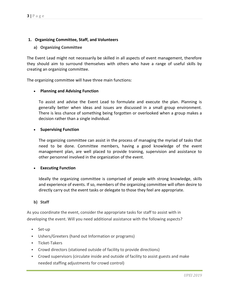### **1. Organizing Committee, Staff, and Volunteers**

### **a) Organizing Committee**

The Event Lead might not necessarily be skilled in all aspects of event management, therefore they should aim to surround themselves with others who have a range of useful skills by creating an organizing committee.

The organizing committee will have three main functions:

#### **Planning and Advising Function**

To assist and advise the Event Lead to formulate and execute the plan. Planning is generally better when ideas and issues are discussed in a small group environment. There is less chance of something being forgotten or overlooked when a group makes a decision rather than a single individual.

#### **Supervising Function**

The organizing committee can assist in the process of managing the myriad of tasks that need to be done. Committee members, having a good knowledge of the event management plan, are well placed to provide training, supervision and assistance to other personnel involved in the organization of the event.

#### **Executing Function**

Ideally the organizing committee is comprised of people with strong knowledge, skills and experience of events. If so, members of the organizing committee will often desire to directly carry out the event tasks or delegate to those they feel are appropriate.

#### **b) Staff**

As you coordinate the event, consider the appropriate tasks for staff to assist with in developing the event. Will you need additional assistance with the following aspects?

- Set-up
- Ushers/Greeters (hand out Information or programs)
- **Ticket-Takers**
- Crowd directors (stationed outside of facility to provide directions)
- Crowd supervisors (circulate inside and outside of facility to assist guests and make needed staffing adjustments for crowd control)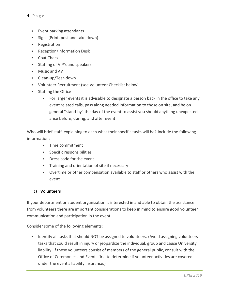- Event parking attendants
- Signs (Print, post and take down)
- **Registration**
- **Reception/Information Desk**
- Coat Check
- **Staffing of VIP's and speakers**
- **Music and AV**
- Clean-up/Tear-down
- Volunteer Recruitment (see Volunteer Checklist below)
- **Staffing the Office** 
	- For larger events it is advisable to designate a person back in the office to take any event related calls, pass along needed information to those on site, and be on general "stand-by" the day of the event to assist you should anything unexpected arise before, during, and after event

Who will brief staff, explaining to each what their specific tasks will be? Include the following information:

- **Time commitment**
- Specific responsibilities
- Dress code for the event
- **Training and orientation of site if necessary**
- Overtime or other compensation available to staff or others who assist with the event

### **c) Volunteers**

If your department or student organization is interested in and able to obtain the assistance from volunteers there are important considerations to keep in mind to ensure good volunteer communication and participation in the event.

Consider some of the following elements:

**IDENTIFY ALL TASKS THAT SHOULD NOT BE ASSIGNED TO VOLUTTEERS.** (Avoid assigning volunteers tasks that could result in injury or jeopardize the individual, group and cause University liability. If these volunteers consist of members of the general public, consult with the Office of Ceremonies and Events first to determine if volunteer activities are covered under the event's liability insurance.)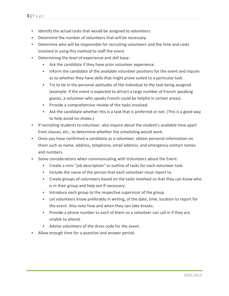- **IDENTIFY THE ACTUAL THAT IS NOTE** in the attachment of the actual tasks that would be assigned to volunteers.
- Determine the number of volunteers that will be necessary.
- Determine who will be responsible for recruiting volunteers and the time and costs involved in using this method to staff the event.
- Determining the level of experience and skill base:
	- Ask the candidate if they have prior volunteer experience.
	- **Inform the candidate of the available volunteer positions for the event and inquire** as to whether they have skills that might prove suited to a particular task.
	- Try to tie in the personal aptitudes of the individual to the task being assigned (example: if the event is expected to attract a large number of French speaking guests, a volunteer who speaks French could be helpful in certain areas).
	- **Provide a comprehensive review of the tasks involved.**
	- Ask the candidate whether this is a task that is preferred or not. (This is a good way to help avoid no-shows.)
- If recruiting students to volunteer, also inquire about the student's available time apart from classes, etc., to determine whether the scheduling would work.
- Once you have confirmed a candidate as a volunteer, obtain personal information on them such as name, address, telephone, email address, and emergency contact names and numbers.
- Some considerations when communicating with Volunteers about the Event:
	- Create a mini "job description" or outline of tasks for each volunteer task.
	- Include the name of the person that each volunteer must report to.
	- Create groups of volunteers based on the tasks involved so that they can know who is in their group and help out if necessary.
	- **Introduce each group to the respective supervisor of the group.**
	- Let volunteers know preferably in writing, of the date, time, location to report for the event. Also note how and when they can take breaks.
	- Provide a phone number to each of them so a volunteer can call in if they are unable to attend.
	- Advise volunteers of the dress code for the event.
- Allow enough time for a question and answer period.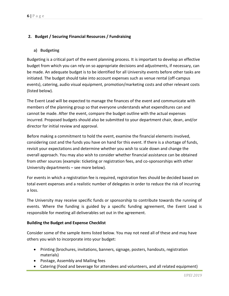# **2. Budget / Securing Financial Resources / Fundraising**

## **a) Budgeting**

Budgeting is a critical part of the event planning process. It is important to develop an effective budget from which you can rely on so appropriate decisions and adjustments, if necessary, can be made. An adequate budget is to be identified for all University events before other tasks are initiated. The budget should take into account expenses such as venue rental (off-campus events), catering, audio visual equipment, promotion/marketing costs and other relevant costs (listed below).

The Event Lead will be expected to manage the finances of the event and communicate with members of the planning group so that everyone understands what expenditures can and cannot be made. After the event, compare the budget outline with the actual expenses incurred. Proposed budgets should also be submitted to your department chair, dean, and/or director for initial review and approval.

Before making a commitment to hold the event, examine the financial elements involved, considering cost and the funds you have on hand for this event. If there is a shortage of funds, revisit your expectations and determine whether you wish to scale down and change the overall approach. You may also wish to consider whether financial assistance can be obtained from other sources (example: ticketing or registration fees, and co-sponsorships with other University departments – see more below).

For events in which a registration fee is required, registration fees should be decided based on total event expenses and a realistic number of delegates in order to reduce the risk of incurring a loss.

The University may receive specific funds or sponsorship to contribute towards the running of events. Where the funding is guided by a specific funding agreement, the Event Lead is responsible for meeting all deliverables set out in the agreement.

### **Building the Budget and Expense Checklist**

Consider some of the sample items listed below. You may not need all of these and may have others you wish to incorporate into your budget:

- Printing (brochures, invitations, banners, signage, posters, handouts, registration materials)
- Postage, Assembly and Mailing fees
- Catering (Food and beverage for attendees and volunteers, and all related equipment)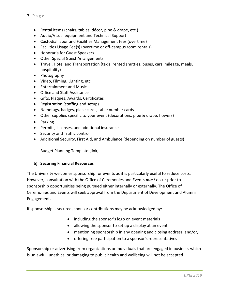- Rental items (chairs, tables, décor, pipe & drape, etc.)
- Audio/Visual equipment and Technical Support
- Custodial labor and Facilities Management fees (overtime)
- Facilities Usage Fee(s) (overtime or off-campus room rentals)
- Honoraria for Guest Speakers
- Other Special Guest Arrangements
- Travel, Hotel and Transportation (taxis, rented shuttles, buses, cars, mileage, meals, hospitality)
- Photography
- Video, Filming, Lighting, etc.
- Entertainment and Music
- Office and Staff Assistance
- Gifts, Plaques, Awards, Certificates
- Registration (staffing and setup)
- Nametags, badges, place cards, table number cards
- Other supplies specific to your event (decorations, pipe & drape, flowers)
- Parking
- Permits, Licenses, and additional insurance
- Security and Traffic control
- Additional Security, First Aid, and Ambulance (depending on number of guests)

Budget Planning Template [link]

### **b) Securing Financial Resources**

The University welcomes sponsorship for events as it is particularly useful to reduce costs. However, consultation with the Office of Ceremonies and Events *must* occur prior to sponsorship opportunities being pursued either internally or externally. The Office of Ceremonies and Events will seek approval from the Department of Development and Alumni Engagement.

If sponsorship is secured, sponsor contributions may be acknowledged by:

- including the sponsor's logo on event materials
- allowing the sponsor to set up a display at an event
- mentioning sponsorship in any opening and closing address; and/or,
- offering free participation to a sponsor's representatives

Sponsorship or advertising from organizations or individuals that are engaged in business which is unlawful, unethical or damaging to public health and wellbeing will not be accepted.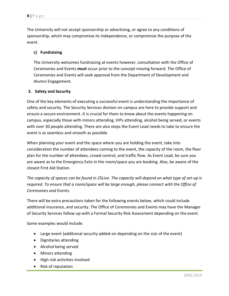The University will not accept sponsorship or advertising, or agree to any conditions of sponsorship, which may compromise its independence, or compromise the purpose of the event.

# **c) Fundraising**

The University welcomes fundraising at events however, consultation with the Office of Ceremonies and Events *must* occur prior to the concept moving forward. The Office of Ceremonies and Events will seek approval from the Department of Development and Alumni Engagement.

# **3. Safety and Security**

One of the key elements of executing a successful event is understanding the importance of safety and security. The Security Services division on campus are here to provide support and ensure a secure environment. It is crucial for them to know about the events happening on campus, especially those with minors attending, VIPs attending, alcohol being served, or events with over 30 people attending. There are also steps the Event Lead needs to take to ensure the event is as seamless and smooth as possible.

When planning your event and the space where you are holding the event, take into consideration the number of attendees coming to the event, the capacity of the room, the floor plan for the number of attendees, crowd control, and traffic flow. As Event Lead, be sure you are aware as to the Emergency Exits in the room/space you are booking. Also, be aware of the closest First Aid Station.

*The capacity of spaces can be found in 25Live. The capacity will depend on what type of set-up is required. To ensure that a room/space will be large enough, please connect with the Office of Ceremonies and Events.* 

There will be extra precautions taken for the following events below, which could include additional insurance, and security. The Office of Ceremonies and Events may have the Manager of Security Services follow-up with a Formal Security Risk Assessment depending on the event.

Some examples would include:

- Large event (additional security added-on depending on the size of the event)
- Dignitaries attending
- Alcohol being served
- Minors attending
- High risk activities involved
- Risk of reputation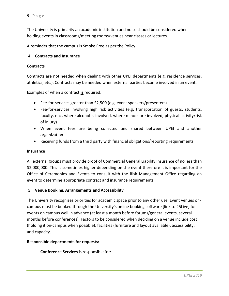The University is primarily an academic institution and noise should be considered when holding events in classrooms/meeting rooms/venues near classes or lectures.

A reminder that the campus is Smoke Free as per the Policy.

### **4. Contracts and Insurance**

#### **Contracts**

Contracts are not needed when dealing with other UPEI departments (e.g. residence services, athletics, etc.). Contracts may be needed when external parties become involved in an event.

Examples of when a contract **is** required:

- Fee-for-services greater than \$2,500 (e.g. event speakers/presenters)
- Fee-for-services involving high risk activities (e.g. transportation of guests, students, faculty, etc., where alcohol is involved, where minors are involved, physical activity/risk of injury)
- When event fees are being collected and shared between UPEI and another organization
- Receiving funds from a third party with financial obligations/reporting requirements

#### **Insurance**

All external groups must provide proof of Commercial General Liability Insurance of no less than \$2,000,000. This is sometimes higher depending on the event therefore it is important for the Office of Ceremonies and Events to consult with the Risk Management Office regarding an event to determine appropriate contract and insurance requirements.

### **5. Venue Booking, Arrangements and Accessibility**

The University recognizes priorities for academic space prior to any other use. Event venues oncampus must be booked through the University's online booking software [link to 25Live] for events on campus well in advance (at least a month before forums/general events, several months before conferences). Factors to be considered when deciding on a venue include cost (holding it on-campus when possible), facilities (furniture and layout available), accessibility, and capacity.

#### **Responsible departments for requests:**

**Conference Services** is responsible for: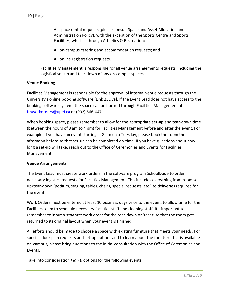All space rental requests (please consult Space and Asset Allocation and Administration Policy), with the exception of the Sports Centre and Sports Facilities, which is through Athletics & Recreation;

All on-campus catering and accommodation requests; and

All online registration requests.

**Facilities Management** is responsible for all venue arrangements requests, including the logistical set-up and tear-down of any on-campus spaces.

#### **Venue Booking**

Facilities Management is responsible for the approval of internal venue requests through the University's online booking software [Link 25Live]. If the Event Lead does not have access to the booking software system, the space can be booked through Facilities Management at [fmworkorders@upei.ca](mailto:fmworkorders@upei.ca) or (902) 566-0471.

When booking space, please remember to allow for the appropriate set-up and tear-down time (between the hours of 8 am to 4 pm) for Facilities Management before and after the event. For example: if you have an event starting at 8 am on a Tuesday, please book the room the afternoon before so that set-up can be completed on-time. If you have questions about how long a set-up will take, reach out to the Office of Ceremonies and Events for Facilities Management.

#### **Venue Arrangements**

The Event Lead must create work orders in the software program SchoolDude to order necessary logistics requests for Facilities Management. This includes everything from room setup/tear-down (podium, staging, tables, chairs, special requests, etc.) to deliveries required for the event.

Work Orders must be entered at least 10 business days prior to the event, to allow time for the Facilities team to schedule necessary facilities staff and cleaning staff. It's important to remember to input a *separate* work order for the tear-down or 'reset' so that the room gets returned to its original layout when your event is finished.

All efforts should be made to choose a space with existing furniture that meets your needs. For specific floor plan requests and set-up options and to learn about the furniture that is available on-campus, please bring questions to the initial consultation with the Office of Ceremonies and Events.

Take into consideration *Plan B* options for the following events: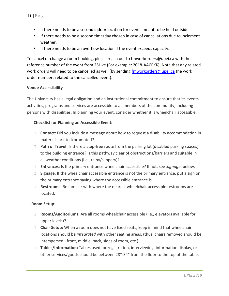- If there needs to be a second indoor location for events meant to be held outside.
- If there needs to be a second time/day chosen in case of cancellations due to inclement weather.
- If there needs to be an overflow location if the event exceeds capacity.

To cancel or change a room booking, please reach out to fmworkorders@upei.ca with the reference number of the event from 25Live (For example: 2018-AACPKK). Note that any related work orders will need to be cancelled as well (by sending [fmworkorders@upei.ca](mailto:fmworkorders@upei.ca) the work order numbers related to the cancelled event).

#### **Venue Accessibility**

The University has a legal obligation and an institutional commitment to ensure that its events, activities, programs and services are accessible to all members of the community, including persons with disabilities. In planning your event, consider whether it is wheelchair accessible.

#### **Checklist for Planning an Accessible Event:**

- □ **Contact**: Did you include a message about how to request a disability accommodation in materials printed/promoted?
- □ **Path of Travel**: Is there a step-free route from the parking lot (disabled parking spaces) to the building entrance? Is this pathway clear of obstructions/barriers and suitable in all weather conditions (i.e., rainy/slippery)?
- **Entrances**: Is the primary entrance wheelchair accessible? If not, see *Signage*, below.
- □ **Signage**: If the wheelchair accessible entrance is not the primary entrance, put a sign on the primary entrance saying where the accessible entrance is.
- **Restrooms**: Be familiar with where the nearest wheelchair accessible restrooms are located.

#### **Room Setup**:

- **Rooms/Auditoriums:** Are all rooms wheelchair accessible (i.e., elevators available for upper levels)?
- **Chair Setup:** When a room does not have fixed seats, keep in mind that wheelchair locations should be *integrated* with other seating areas. (thus, chairs removed should be interspersed - front, middle, back, sides of room, etc.).
- **Tables/Information:** Tables used for registration, interviewing, information display, or other services/goods should be between 28"-34" from the floor to the top of the table.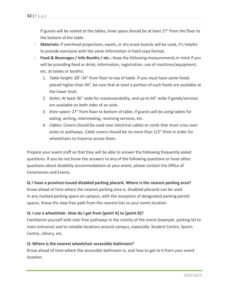If guests will be seated at the tables, knee space should be at least 27" from the floor to the bottom of the table.

- □ **Materials:** If overhead projections, easels, or dry erase boards will be used, it's helpful to provide everyone with the same information in hard copy format.
- **Food & Beverages / Info Booths / etc.:** Keep the following measurements in mind if you will be providing food or drink, information, registration, use of machines/equipment, etc. at tables or booths:
	- 1. *Table height:* 28"-34" from floor to top of table. If you must have some foods placed higher than 34", be sure that at least a portion of such foods are available at the lower level.
	- 2. *Aisles:* At least 36" wide for maneuverability, and up to 44" wide if goods/services are available on both sides of an aisle.
	- 3. *Knee space:* 27" from floor to bottom of table, if guests will be using tables for eating, writing, interviewing, receiving services, etc.
	- 4. *Cables:* Covers should be used over electrical cables or cords that must cross over aisles or pathways. Cable covers should be no more than 1/2" thick in order for wheelchairs to traverse across them.

Prepare your event staff so that they will be able to answer the following frequently asked questions. If you do not know the answers to any of the following questions or have other questions about disability accommodations at your event, please contact the Office of Ceremonies and Events.

# **Q: I have a province-issued disabled parking placard. Where is the nearest parking area?**

Know ahead of time where the nearest parking area is. Disabled placards can be used in any marked parking space on campus, with the exception of designated parking permit spaces. Know the step-free path from the nearest lots to your event location.

# **Q: I use a wheelchair. How do I get from [point A] to [point B]?**

Familiarize yourself with stair-free pathways in the vicinity of the event (example: parking lot to main entrance) and to notable locations around campus, especially: Student Centre, Sports Centre, Library, etc.

# **Q: Where is the nearest wheelchair accessible bathroom?**

Know ahead of time where the accessible bathroom is, and how to get to it from your event location.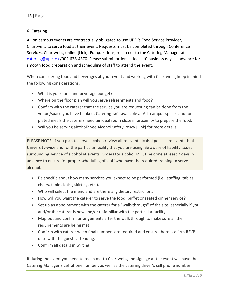# **6. Catering**

All on-campus events are contractually obligated to use UPEI's Food Service Provider, Chartwells to serve food at their event. Requests must be completed through Conference Services, Chartwells, online [Link]. For questions, reach out to the Catering Manager at [catering@upei.ca](mailto:catering@upei.ca) /902-628-4370. Please submit orders at least 10 business days in advance for smooth food preparation and scheduling of staff to attend the event.

When considering food and beverages at your event and working with Chartwells, keep in mind the following considerations:

- What is your food and beverage budget?
- Where on the floor plan will you serve refreshments and food?
- Confirm with the caterer that the service you are requesting can be done from the venue/space you have booked. Catering isn't available at ALL campus spaces and for plated meals the caterers need an ideal room close in proximity to prepare the food.
- Will you be serving alcohol? See Alcohol Safety Policy [Link] for more details.

PLEASE NOTE: If you plan to serve alcohol, review all relevant alcohol policies relevant - both University-wide and for the particular facility that you are using. Be aware of liability issues surrounding service of alcohol at events. Orders for alcohol MUST be done at least 7 days in advance to ensure for proper scheduling of staff who have the required training to serve alcohol.

- Be specific about how many services you expect to be performed (i.e., staffing, tables, chairs, table cloths, skirting, etc.).
- Who will select the menu and are there any dietary restrictions?
- How will you want the caterer to serve the food: buffet or seated dinner service?
- Set up an appointment with the caterer for a "walk-through" of the site, especially if you and/or the caterer is new and/or unfamiliar with the particular facility.
- Map out and confirm arrangements after the walk through to make sure all the requirements are being met.
- Confirm with caterer when final numbers are required and ensure there is a firm RSVP date with the guests attending.
- Confirm all details in writing.

If during the event you need to reach out to Chartwells, the signage at the event will have the Catering Manager's cell phone number, as well as the catering driver's cell phone number.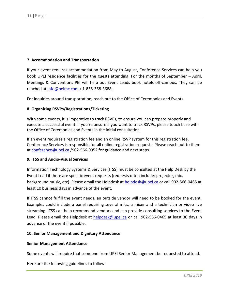#### **7. Accommodation and Transportation**

If your event requires accommodation from May to August, Conference Services can help you book UPEI residence facilities for the guests attending. For the months of September – April, Meetings & Conventions PEI will help out Event Leads book hotels off-campus. They can be reached a[t info@peimc.com](mailto:info@peimc.com) / 1-855-368-3688.

For inquiries around transportation, reach out to the Office of Ceremonies and Events.

### **8. Organizing RSVPs/Registrations/Ticketing**

With some events, it is imperative to track RSVPs, to ensure you can prepare properly and execute a successful event. If you're unsure if you want to track RSVPs, please touch base with the Office of Ceremonies and Events in the initial consultation.

If an event requires a registration fee and an online RSVP system for this registration fee, Conference Services is responsible for all online registration requests. Please reach out to them at [conference@upei.ca](mailto:conference@upei.ca) /902-566-0952 for guidance and next steps.

#### **9. ITSS and Audio-Visual Services**

Information Technology Systems & Services (ITSS) must be consulted at the Help Desk by the Event Lead if there are specific event requests (requests often include: projector, mic, background music, etc). Please email the Helpdesk at [helpdesk@upei.ca](mailto:helpdesk@upei.ca) or call 902-566-0465 at least 10 business days in advance of the event.

If ITSS cannot fulfill the event needs, an outside vendor will need to be booked for the event. Examples could include a panel requiring several mics, a mixer and a technician or video live streaming. ITSS can help recommend vendors and can provide consulting services to the Event Lead. Please email the Helpdesk at [helpdesk@upei.ca](mailto:helpdesk@upei.ca) or call 902-566-0465 at least 30 days in advance of the event if possible.

#### **10. Senior Management and Dignitary Attendance**

#### **Senior Management Attendance**

Some events will require that someone from UPEI Senior Management be requested to attend.

Here are the following guidelines to follow: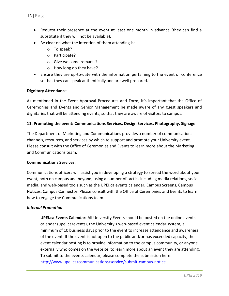- Request their presence at the event at least one month in advance (they can find a substitute if they will not be available).
- Be clear on what the intention of them attending is:
	- o To speak?
	- o Participate?
	- o Give welcome remarks?
	- o How long do they have?
- Ensure they are up-to-date with the information pertaining to the event or conference so that they can speak authentically and are well prepared.

#### **Dignitary Attendance**

As mentioned in the Event Approval Procedures and Form, it's important that the Office of Ceremonies and Events and Senior Management be made aware of any guest speakers and dignitaries that will be attending events, so that they are aware of visitors to campus.

#### **11. Promoting the event: Communications Services, Design Services, Photography, Signage**

The Department of Marketing and Communications provides a number of communications channels, resources, and services by which to support and promote your University event. Please consult with the Office of Ceremonies and Events to learn more about the Marketing and Communications team.

### **Communications Services:**

Communications officers will assist you in developing a strategy to spread the word about your event, both on campus and beyond, using a number of tactics including media relations, social media, and web-based tools such as the UPEI.ca events calendar, Campus Screens, Campus Notices, Campus Connector. Please consult with the Office of Ceremonies and Events to learn how to engage the Communications team.

### *Internal Promotion*

**UPEI.ca Events Calendar:** All University Events should be posted on the online events calendar (upei.ca/events), the University's web-based event calendar system, a minimum of 10 business days prior to the event to increase attendance and awareness of the event. If the event is not open to the public and/or has exceeded capacity, the event calendar posting is to provide information to the campus community, or anyone externally who comes on the website, to learn more about an event they are attending. To submit to the events calendar, please complete the submission here: <http://www.upei.ca/communications/service/submit-campus-notice>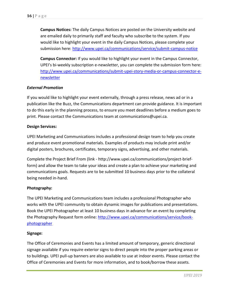**Campus Notices:** The daily Campus Notices are posted on the University website and are emailed daily to primarily staff and faculty who subscribe to the system. If you would like to highlight your event in the daily Campus Notices, please complete your submission here:<http://www.upei.ca/communications/service/submit-campus-notice>

**Campus Connector:** If you would like to highlight your event in the Campus Connector, UPEI's bi-weekly subscription e-newsletter, you can complete the submission form here: [http://www.upei.ca/communications/submit-upei-story-media-or-campus-connector-e](http://www.upei.ca/communications/submit-upei-story-media-or-campus-connector-e-newsletter)[newsletter](http://www.upei.ca/communications/submit-upei-story-media-or-campus-connector-e-newsletter)

#### *External Promotion*

If you would like to highlight your event externally, through a press release, news ad or in a publication like the Buzz, the Communications department can provide guidance. It is important to do this early in the planning process, to ensure you meet deadlines before a medium goes to print. Please contact the Communications team at communications@upei.ca.

#### **Design Services:**

UPEI Marketing and Communications includes a professional design team to help you create and produce event promotional materials. Examples of products may include print and/or digital posters, brochures, certificates, temporary signs, advertising, and other materials.

Complete the Project Brief From (link - http://www.upei.ca/communications/project-briefform) and allow the team to take your ideas and create a plan to achieve your marketing and communications goals. Requests are to be submitted 10 business days prior to the collateral being needed in-hand.

#### **Photography:**

The UPEI Marketing and Communications team includes a professional Photographer who works with the UPEI community to obtain dynamic images for publications and presentations. Book the UPEI Photographer at least 10 business days in advance for an event by completing the Photography Request form online: [http://www.upei.ca/communications/service/book](http://www.upei.ca/communications/service/book-photographer)[photographer](http://www.upei.ca/communications/service/book-photographer)

#### **Signage:**

The Office of Ceremonies and Events has a limited amount of temporary, generic directional signage available if you require exterior signs to direct people into the proper parking areas or to buildings. UPEI pull-up banners are also available to use at indoor events. Please contact the Office of Ceremonies and Events for more information, and to book/borrow these assets.